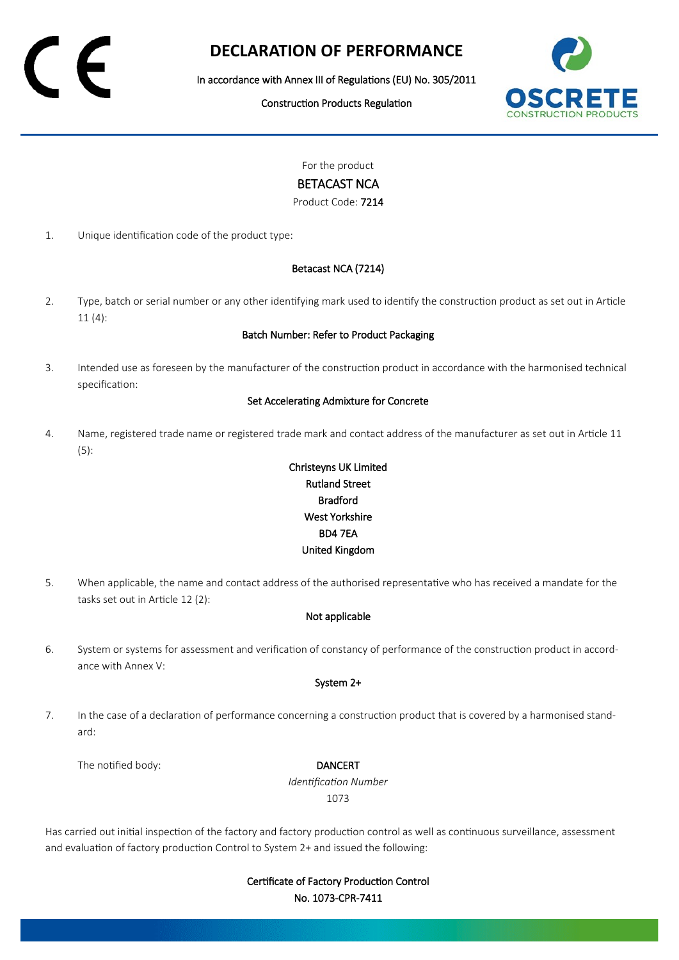# **DECLARATION OF PERFORMANCE**

In accordance with Annex III of Regulations (EU) No. 305/2011

Construction Products Regulation



For the product

### BETACAST NCA

Product Code: 7214

1. Unique identification code of the product type:

#### Betacast NCA (7214)

2. Type, batch or serial number or any other identifying mark used to identify the construction product as set out in Article 11 (4):

#### Batch Number: Refer to Product Packaging

3. Intended use as foreseen by the manufacturer of the construction product in accordance with the harmonised technical specification:

#### Set Accelerating Admixture for Concrete

4. Name, registered trade name or registered trade mark and contact address of the manufacturer as set out in Article 11 (5):

## Christeyns UK Limited Rutland Street Bradford West Yorkshire BD4 7EA United Kingdom

5. When applicable, the name and contact address of the authorised representative who has received a mandate for the tasks set out in Article 12 (2):

#### Not applicable

6. System or systems for assessment and verification of constancy of performance of the construction product in accordance with Annex V:

#### System 2+

7. In the case of a declaration of performance concerning a construction product that is covered by a harmonised standard:

The notified body: **DANCERT** 

*Identification Number* 1073

Has carried out initial inspection of the factory and factory production control as well as continuous surveillance, assessment and evaluation of factory production Control to System 2+ and issued the following:

> Certificate of Factory Production Control No. 1073-CPR-7411